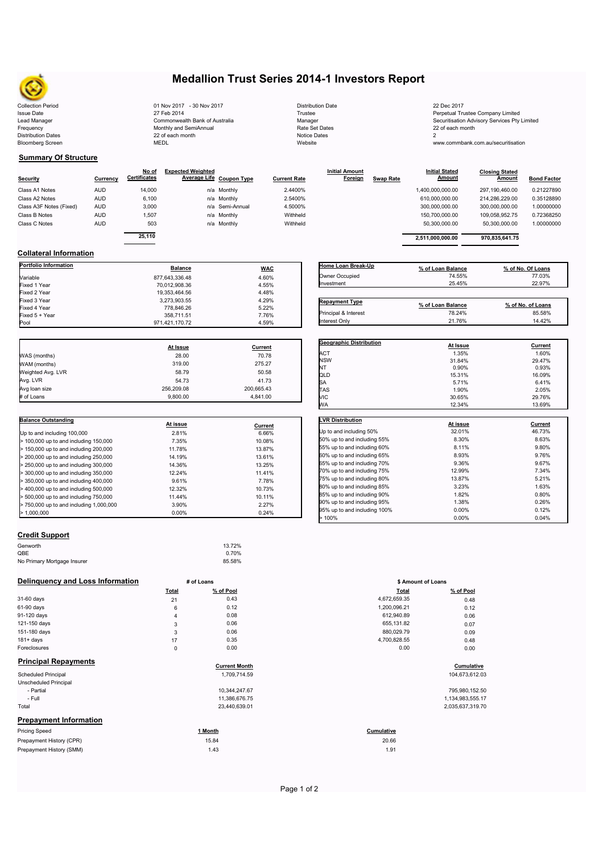

## **Medallion Trust Series 2014-1 Investors Report**

| $\sim$                                               |          |                        |                                              |                            |                |                     |                                                        |                  |                                   |                                    |                |                          |
|------------------------------------------------------|----------|------------------------|----------------------------------------------|----------------------------|----------------|---------------------|--------------------------------------------------------|------------------|-----------------------------------|------------------------------------|----------------|--------------------------|
| <b>Collection Period</b>                             |          |                        | 01 Nov 2017 - 30 Nov 2017                    |                            |                |                     | <b>Distribution Date</b>                               |                  | 22 Dec 2017                       |                                    |                |                          |
| <b>Issue Date</b>                                    |          |                        | 27 Feb 2014                                  |                            |                | Trustee             |                                                        |                  | Perpetual Trustee Company Limited |                                    |                |                          |
| Lead Manager<br>Commonwealth Bank of Australia       |          | Manager                | Securitisation Advisory Services Pty Limited |                            |                |                     |                                                        |                  |                                   |                                    |                |                          |
| Frequency                                            |          | Monthly and SemiAnnual |                                              |                            |                | Rate Set Dates      |                                                        |                  | 22 of each month                  |                                    |                |                          |
| <b>Distribution Dates</b><br><b>Bloomberg Screen</b> |          |                        | 22 of each month<br><b>MEDL</b>              |                            |                | Website             | <b>Notice Dates</b>                                    |                  | $\overline{2}$                    | www.commbank.com.au/securitisation |                |                          |
|                                                      |          |                        |                                              |                            |                |                     |                                                        |                  |                                   |                                    |                |                          |
| <b>Summary Of Structure</b>                          |          | No of                  | <b>Expected Weighted</b>                     |                            |                |                     | <b>Initial Amount</b>                                  |                  | <b>Initial Stated</b>             | <b>Closing Stated</b>              |                |                          |
| Security                                             | Currency | Certificates           | <b>Average Life</b>                          | <b>Coupon Type</b>         |                | <b>Current Rate</b> | Foreign                                                | <b>Swap Rate</b> | Amount                            |                                    | <b>Amount</b>  | <b>Bond Factor</b>       |
| Class A1 Notes<br><b>AUD</b>                         |          | 14,000                 |                                              | n/a Monthly                |                | 2.4400%             |                                                        |                  | 1,400,000,000.00                  | 297,190,460.00                     |                | 0.21227890               |
| Class A2 Notes<br><b>AUD</b>                         |          | 6,100                  |                                              | n/a Monthly                |                | 2.5400%             |                                                        |                  | 610,000,000.00                    | 214,286,229.00                     |                | 0.35128890               |
| Class A3F Notes (Fixed)<br><b>AUD</b>                |          | 3,000                  |                                              | n/a Semi-Annual            |                | 4.5000%             |                                                        |                  | 300,000,000.00                    | 300,000,000.00                     |                | 1.00000000               |
| <b>AUD</b>                                           |          |                        |                                              |                            |                | Withheld            |                                                        |                  |                                   |                                    |                |                          |
| Class B Notes<br><b>AUD</b><br>Class C Notes         |          | 1,507<br>503           |                                              | n/a Monthly<br>n/a Monthly |                | Withheld            |                                                        |                  | 150,700,000.00<br>50,300,000.00   | 109,058,952.75                     |                | 0.72368250<br>1.00000000 |
|                                                      |          |                        |                                              |                            |                |                     |                                                        |                  |                                   |                                    | 50,300,000.00  |                          |
|                                                      |          | 25,110                 |                                              |                            |                |                     |                                                        |                  | 2,511,000,000.00                  |                                    | 970,835,641.75 |                          |
| <b>Collateral Information</b>                        |          |                        |                                              |                            |                |                     |                                                        |                  |                                   |                                    |                |                          |
| Portfolio Information                                |          |                        | <b>Balance</b>                               |                            | <b>WAC</b>     |                     | Home Loan Break-Up                                     |                  | % of Loan Balance                 |                                    |                | % of No. Of Loans        |
| Variable                                             |          |                        | 877,643,336.48                               |                            | 4.60%          |                     | Owner Occupied                                         |                  | 74.55%                            |                                    |                | 77.03%                   |
| Fixed 1 Year                                         |          |                        | 70,012,908.36                                |                            | 4.55%          |                     | Investment                                             |                  | 25.45%                            |                                    |                | 22.97%                   |
| Fixed 2 Year                                         |          |                        | 19,353,464.56                                |                            | 4.48%          |                     |                                                        |                  |                                   |                                    |                |                          |
| Fixed 3 Year                                         |          |                        | 3,273,903.55                                 |                            | 4.29%          |                     | <b>Repayment Type</b>                                  |                  |                                   |                                    |                |                          |
| Fixed 4 Year                                         |          |                        | 778,846.26                                   |                            | 5.22%          |                     |                                                        |                  | % of Loan Balance                 |                                    |                | % of No. of Loans        |
| Fixed 5 + Year                                       |          |                        | 358,711.51                                   |                            | 7.76%          |                     | Principal & Interest                                   |                  | 78.24%                            |                                    |                | 85.58%                   |
| Pool                                                 |          |                        | 971,421,170.72                               |                            | 4.59%          |                     | Interest Only                                          |                  | 21.76%                            |                                    |                | 14.42%                   |
|                                                      |          |                        | At Issue                                     |                            | Current        |                     | Geographic Distribution                                |                  | At Issue                          |                                    |                | Current                  |
| WAS (months)                                         |          |                        | 28.00                                        |                            | 70.78          |                     | ACT                                                    |                  | 1.35%                             |                                    |                | 1.60%                    |
| WAM (months)                                         |          |                        | 319.00                                       |                            | 275.27         |                     | <b>NSW</b>                                             |                  | 31.84%                            |                                    |                | 29.47%                   |
| Weighted Avg. LVR                                    |          |                        | 58.79                                        |                            | 50.58          |                     | NT                                                     |                  | 0.90%                             |                                    |                | 0.93%                    |
|                                                      |          |                        |                                              |                            | 41.73          |                     | QLD                                                    |                  | 15.31%                            |                                    |                | 16.09%                   |
| Avg. LVR                                             |          |                        | 54.73<br>256,209.08                          |                            | 200,665.43     |                     | SА                                                     |                  | 5.71%                             |                                    |                | 6.41%                    |
| Avg Ioan size                                        |          |                        | 9,800.00                                     |                            | 4,841.00       |                     | TAS<br>VIC                                             |                  | 1.90%                             |                                    |                | 2.05%                    |
| # of Loans                                           |          |                        |                                              |                            |                |                     | МA                                                     |                  | 30.65%<br>12.34%                  |                                    |                | 29.76%<br>13.69%         |
| <b>Balance Outstanding</b>                           |          |                        |                                              |                            |                |                     | <b>LVR Distribution</b>                                |                  |                                   |                                    |                |                          |
|                                                      |          |                        | At issue                                     |                            | <b>Current</b> |                     |                                                        |                  | At issue<br>32.01%                |                                    |                | <b>Current</b><br>46.73% |
| Up to and including 100,000                          |          |                        | 2.81%                                        |                            | 6.66%          |                     | Up to and including 50%<br>50% up to and including 55% |                  |                                   | 8.30%                              |                | 8.63%                    |
| > 100,000 up to and including 150,000                |          |                        | 7.35%                                        |                            | 10.08%         |                     | 55% up to and including 60%                            |                  |                                   | 8.11%                              |                | 9.80%                    |
| $\cdot$ 150,000 up to and including 200,000          |          |                        | 11.78%                                       |                            | 13.87%         |                     | 60% up to and including 65%                            |                  |                                   | 8.93%                              |                | 9.76%                    |
| 200,000 up to and including 250,000                  |          |                        | 14.19%                                       |                            | 13.61%         |                     | 65% up to and including 70%                            |                  |                                   | 9.36%                              |                | 9.67%                    |
| 250,000 up to and including 300,000                  |          |                        | 14.36%                                       |                            | 13.25%         |                     | 70% up to and including 75%                            |                  | 12.99%                            |                                    |                | 7.34%                    |
| 300,000 up to and including 350,000                  |          |                        | 12.24%                                       |                            | 11.41%         |                     | 75% up to and including 80%                            |                  | 13.87%                            |                                    |                | 5.21%                    |
| 350,000 up to and including 400,000                  |          |                        | 9.61%                                        |                            | 7.78%          |                     | 80% up to and including 85%                            |                  |                                   | 3.23%                              |                | 1.63%                    |
| 400,000 up to and including 500,000                  |          |                        | 12.32%                                       |                            | 10.73%         |                     | 85% up to and including 90%                            |                  |                                   | 1.82%                              |                | 0.80%                    |
| 500,000 up to and including 750,000                  |          |                        | 11.44%                                       |                            | 10.11%         |                     | 90% up to and including 95%                            |                  |                                   | 1.38%                              |                | 0.26%                    |
| > 750,000 up to and including 1,000,000              |          |                        | 3.90%<br>0.00%                               |                            | 2.27%<br>0.24% |                     | 95% up to and including 100%                           |                  |                                   | 0.00%                              |                | 0.12%                    |
| .1,000,000                                           |          |                        |                                              |                            |                |                     | 100%                                                   |                  |                                   | 0.00%                              |                | 0.04%                    |
| <b>Credit Support</b>                                |          |                        |                                              |                            |                |                     |                                                        |                  |                                   |                                    |                |                          |
| Genworth                                             |          |                        |                                              | 13.72%                     |                |                     |                                                        |                  |                                   |                                    |                |                          |
| QBE                                                  |          |                        |                                              | 0.70%                      |                |                     |                                                        |                  |                                   |                                    |                |                          |
| No Primary Mortgage Insurer                          |          |                        |                                              | 85.58%                     |                |                     |                                                        |                  |                                   |                                    |                |                          |
| Delinquency and Loss Information                     |          |                        | # of Loans                                   |                            |                |                     |                                                        |                  | \$ Amount of Loans                |                                    |                |                          |
|                                                      |          |                        | Total                                        | % of Pool                  |                |                     |                                                        | Total            |                                   | % of Pool                          |                |                          |
| 31-60 days                                           |          |                        | 21                                           | 0.43                       |                |                     |                                                        | 4,672,659.35     |                                   | 0.48                               |                |                          |
| 61-90 days                                           |          |                        | 6                                            | 0.12                       |                |                     |                                                        | 1,200,096.21     |                                   | 0.12                               |                |                          |
| 91-120 days                                          |          |                        | $\overline{4}$                               | 0.08                       |                |                     |                                                        | 612,940.89       |                                   | 0.06                               |                |                          |
| 121-150 days                                         |          |                        | 3                                            | 0.06                       |                |                     |                                                        | 655,131.82       |                                   | 0.07                               |                |                          |
| 151-180 days                                         |          |                        | 3                                            | 0.06                       |                |                     |                                                        | 880,029.79       |                                   | 0.09                               |                |                          |
| $181 + days$                                         |          |                        | 17                                           | 0.35                       |                |                     |                                                        | 4,700,828.55     |                                   | 0.48                               |                |                          |
| Foreclosures                                         |          |                        | 0                                            | 0.00                       |                |                     |                                                        | 0.00             |                                   | 0.00                               |                |                          |
| <b>Principal Repayments</b>                          |          |                        |                                              | <b>Current Month</b>       |                |                     |                                                        |                  |                                   | Cumulative                         |                |                          |
| <b>Scheduled Principal</b>                           |          |                        |                                              | 1,709,714.59               |                |                     |                                                        |                  |                                   | 104,673,612.03                     |                |                          |
| <b>Unscheduled Principal</b>                         |          |                        |                                              |                            |                |                     |                                                        |                  |                                   |                                    |                |                          |
| - Partial                                            |          |                        |                                              | 10,344,247.67              |                |                     |                                                        |                  |                                   | 795,980,152.50                     |                |                          |
| - Full                                               |          |                        |                                              | 11,386,676.75              |                |                     |                                                        |                  |                                   | 1,134,983,555.17                   |                |                          |
| Total                                                |          |                        |                                              | 23,440,639.01              |                |                     |                                                        |                  |                                   | 2,035,637,319.70                   |                |                          |
| <b>Prepayment Information</b>                        |          |                        |                                              |                            |                |                     |                                                        |                  |                                   |                                    |                |                          |
| <b>Pricing Speed</b>                                 |          |                        |                                              | 1 Month                    |                |                     |                                                        | Cumulative       |                                   |                                    |                |                          |
| Prepayment History (CPR)                             |          |                        |                                              | 15.84                      |                |                     |                                                        | 20.66            |                                   |                                    |                |                          |
| Prepayment History (SMM)                             |          |                        |                                              | 1.43                       |                |                     |                                                        | 1.91             |                                   |                                    |                |                          |
|                                                      |          |                        |                                              |                            |                |                     |                                                        |                  |                                   |                                    |                |                          |